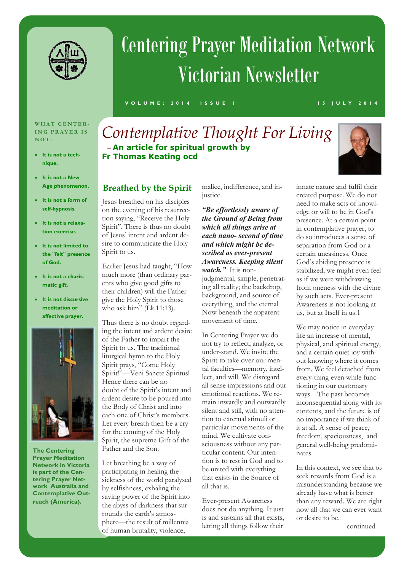

# Centering Prayer Meditation Network Victorian Newsletter

**V O L U M E : 2 0 1 4 I S S U E 1 1 5 J U L Y 2 0 1 4**

#### **W H A T C E N T E R - ING PRAYER IS N O T :**

- **It is not a technique.**
- **It is not a New Age phenomenon.**
- **It is not a form of self-hypnosis.**
- **It is not a relaxation exercise.**
- **It is not limited to the "felt" presence of God.**
- **It is not a charismatic gift.**
- **It is not discursive meditation or affective prayer.**



**The Centering Prayer Meditation Network in Victoria is part of the Centering Prayer Network Australia and Contemplative Outreach (America).**

# *Contemplative Thought For Living —***An article for spiritual growth by Fr Thomas Keating ocd**



### **Breathed by the Spirit**

Jesus breathed on his disciples on the evening of his resurrection saying, "Receive the Holy Spirit". There is thus no doubt of Jesus' intent and ardent desire to communicate the Holy Spirit to us.

Earlier Jesus had taught, "How much more (than ordinary parents who give good gifts to their children) will the Father give the Holy Spirit to those who ask him" (Lk.11:13).

Thus there is no doubt regarding the intent and ardent desire of the Father to impart the Spirit to us. The traditional liturgical hymn to the Holy Spirit prays, "Come Holy Spirit!"—Veni Sancte Spiritus! Hence there can be no doubt of the Spirit's intent and ardent desire to be poured into the Body of Christ and into each one of Christ's members. Let every breath then be a cry for the coming of the Holy Spirit, the supreme Gift of the Father and the Son.

Let breathing be a way of participating in healing the sickness of the world paralysed by selfishness, exhaling the saving power of the Spirit into the abyss of darkness that surrounds the earth's atmosphere—the result of millennia of human brutality, violence,

malice, indifference, and injustice.

#### *"Be effortlessly aware of the Ground of Being from which all things arise at each nano- second of time and which might be described as ever-present Awareness. Keeping silent watch."* It is non-

judgmental, simple, penetrating all reality; the backdrop, background, and source of everything, and the eternal Now beneath the apparent movement of time.

In Centering Prayer we do not try to reflect, analyze, or under-stand. We invite the Spirit to take over our mental faculties—memory, intellect, and will. We disregard all sense impressions and our emotional reactions. We remain inwardly and outwardly silent and still, with no attention to external stimuli or particular movements of the mind. We cultivate consciousness without any particular content. Our intention is to rest in God and to be united with everything that exists in the Source of all that is.

Ever-present Awareness does not do anything. It just is and sustains all that exists, letting all things follow their

innate nature and fulfil their created purpose. We do not need to make acts of knowledge or will to be in God's presence. At a certain point in contemplative prayer, to do so introduces a sense of separation from God or a certain uneasiness. Once God's abiding presence is stabilized, we might even feel as if we were withdrawing from oneness with the divine by such acts. Ever-present Awareness is not looking at us, but at Itself in us.1

We may notice in everyday life an increase of mental, physical, and spiritual energy, and a certain quiet joy without knowing where it comes from. We feel detached from every-thing even while functioning in our customary ways. The past becomes inconsequential along with its contents, and the future is of no importance if we think of it at all. A sense of peace, freedom, spaciousness, and general well-being predominates.

In this context, we see that to seek rewards from God is a misunderstanding because we already have what is better than any reward. We are right now all that we can ever want or desire to be.